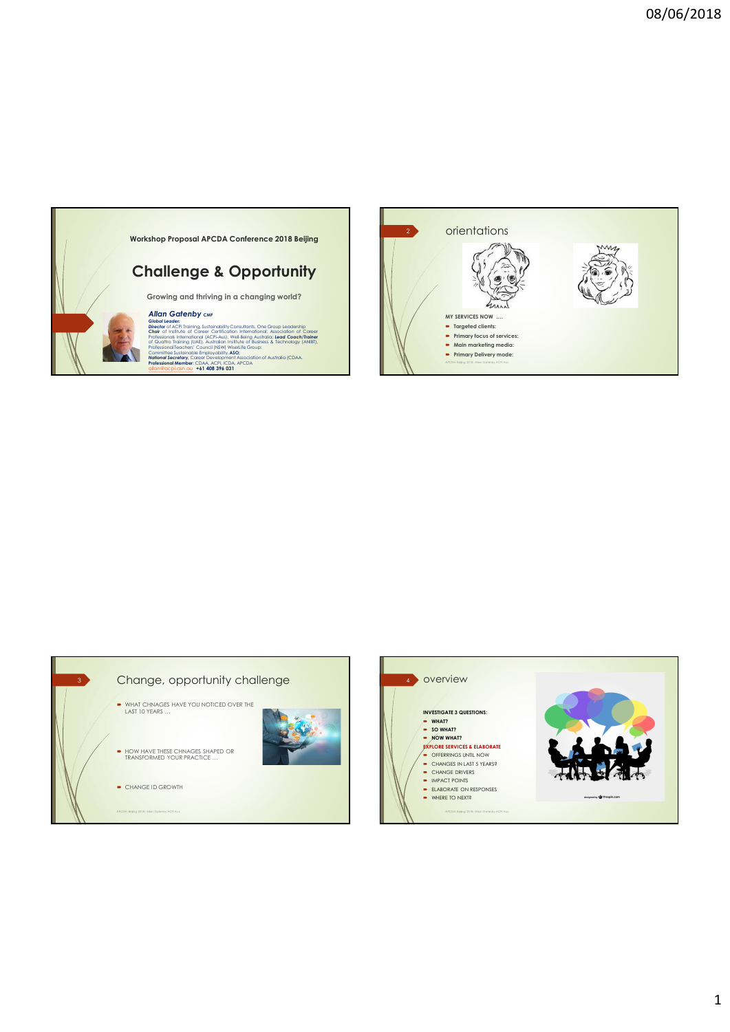





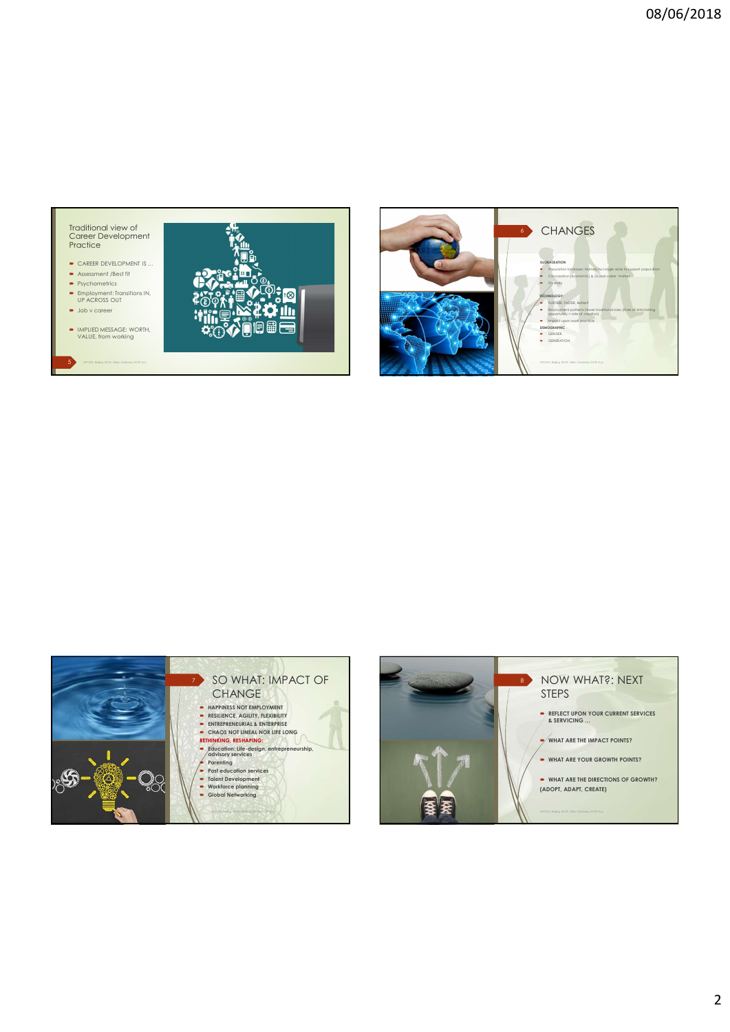- CAREER DEVELOPMENT IS ...
- 
- Employment: Transitions IN, UP ACROSS OUT
- 
-